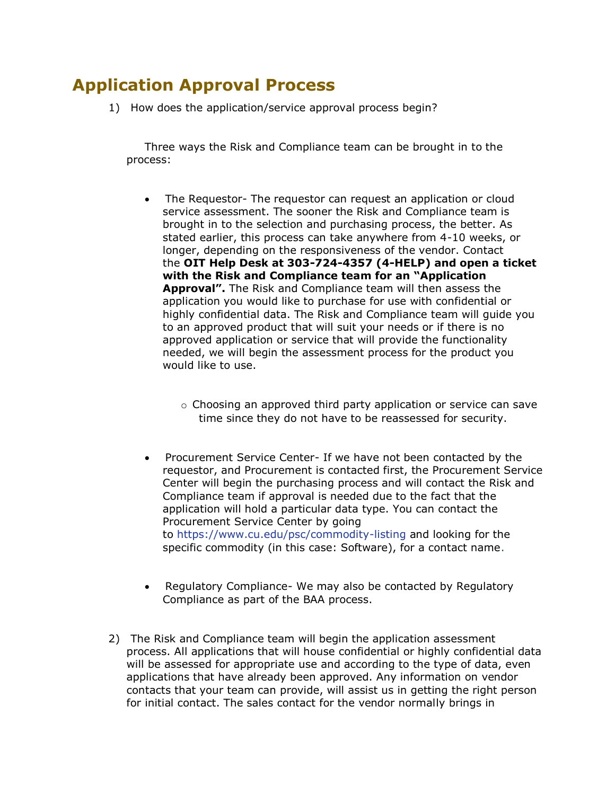## **Application Approval Process**

1) How does the application/service approval process begin?

Three ways the Risk and Compliance team can be brought in to the process:

- The Requestor- The requestor can request an application or cloud service assessment. The sooner the Risk and Compliance team is brought in to the selection and purchasing process, the better. As stated earlier, this process can take anywhere from 4-10 weeks, or longer, depending on the responsiveness of the vendor. Contact the **OIT Help Desk at 303-724-4357 (4-HELP) and open a ticket with the Risk and Compliance team for an "Application Approval".** The Risk and Compliance team will then assess the application you would like to purchase for use with confidential or highly confidential data. The Risk and Compliance team will guide you to an approved product that will suit your needs or if there is no approved application or service that will provide the functionality needed, we will begin the assessment process for the product you would like to use.
	- o Choosing an approved third party application or service can save time since they do not have to be reassessed for security.
- Procurement Service Center- If we have not been contacted by the requestor, and Procurement is contacted first, the Procurement Service Center will begin the purchasing process and will contact the Risk and Compliance team if approval is needed due to the fact that the application will hold a particular data type. You can contact the Procurement Service Center by going to <https://www.cu.edu/psc/commodity-listing> and looking for the specific commodity (in this case: Software), for a contact name.
- Regulatory Compliance- We may also be contacted by Regulatory Compliance as part of the BAA process.
- 2) The Risk and Compliance team will begin the application assessment process. All applications that will house confidential or highly confidential data will be assessed for appropriate use and according to the type of data, even applications that have already been approved. Any information on vendor contacts that your team can provide, will assist us in getting the right person for initial contact. The sales contact for the vendor normally brings in